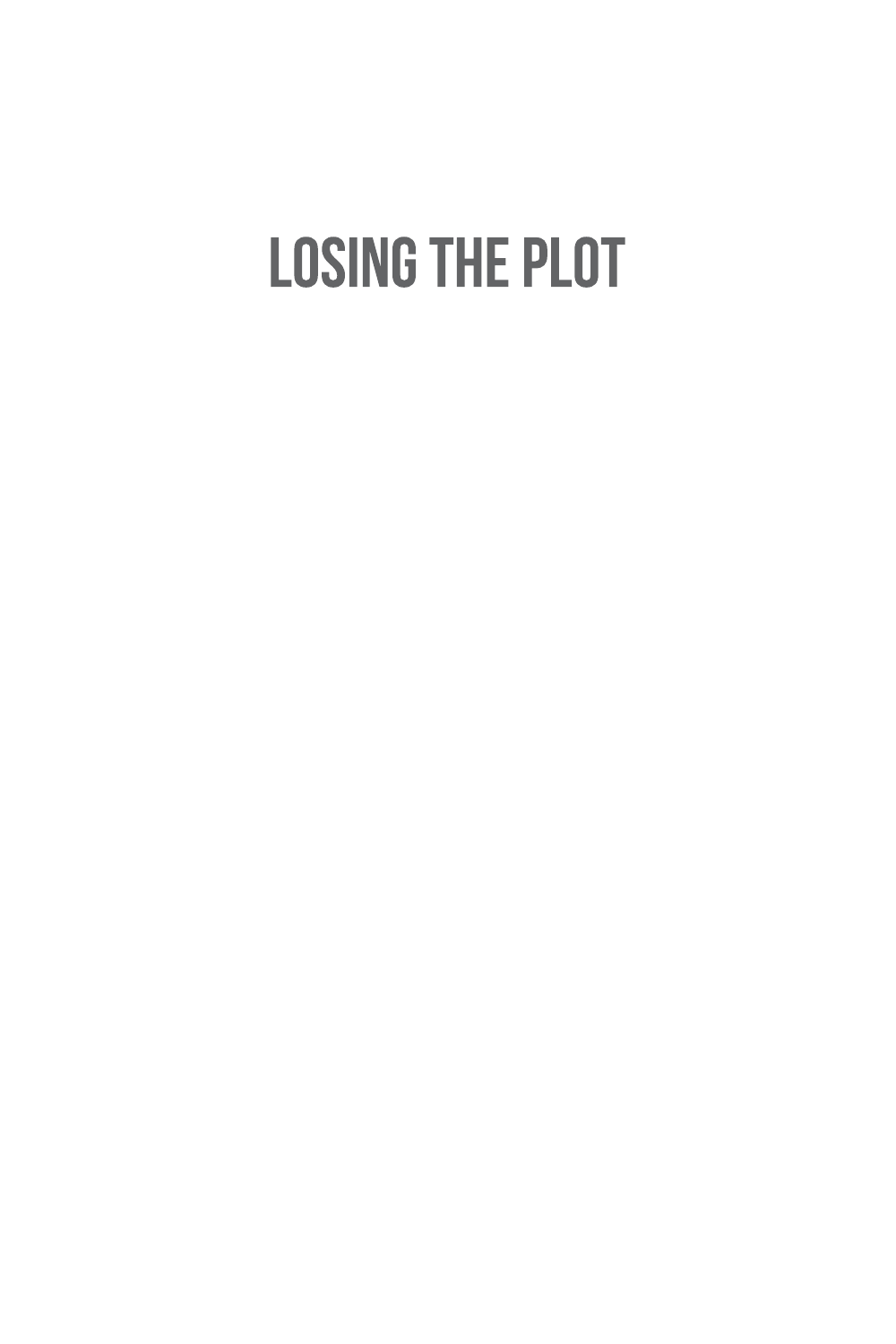# **LOSING THE PLOT**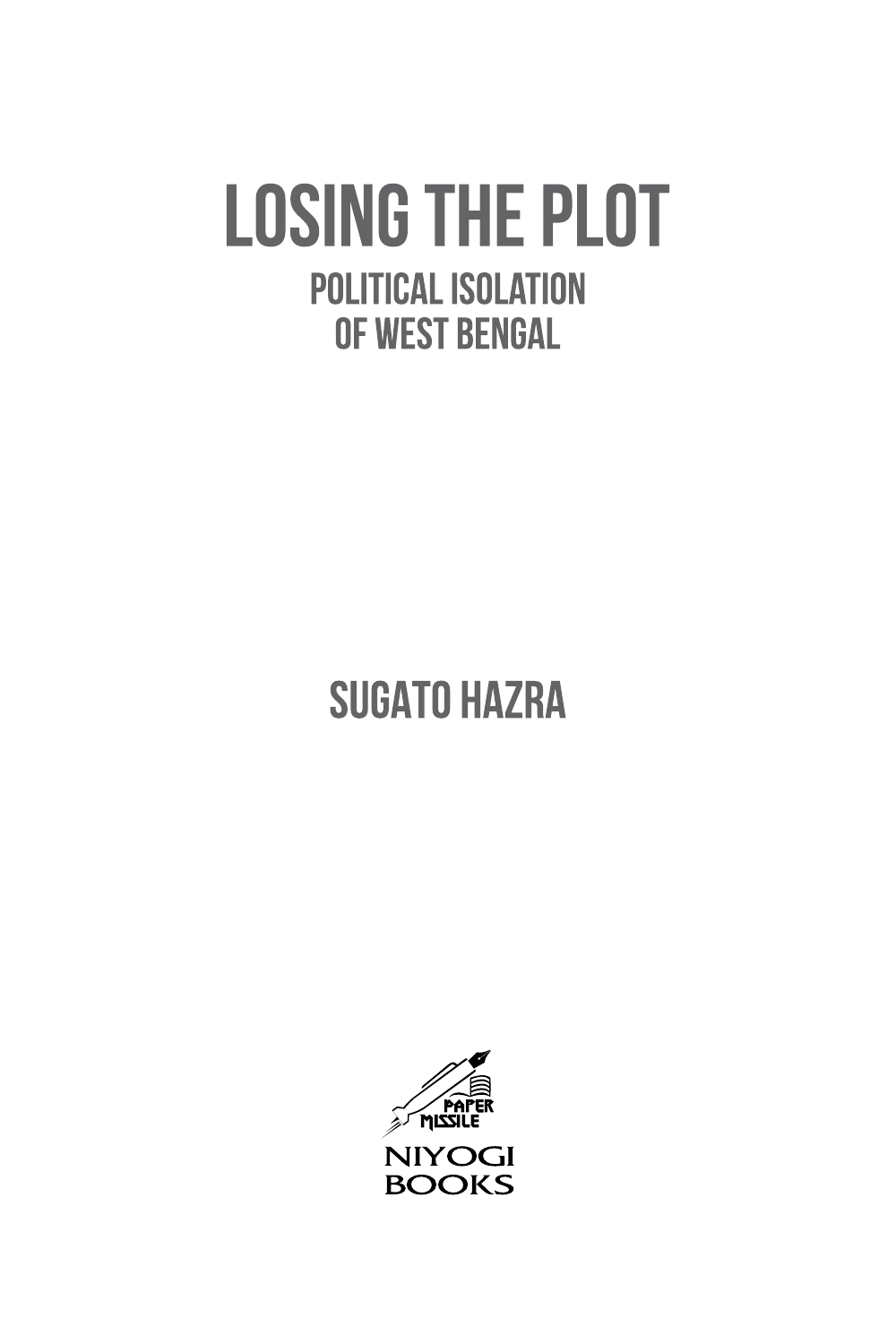# **LOSING THE PLOT POLITICAL ISOLATION** OF WEST BENGAL

## **SUGATO HAZRA**

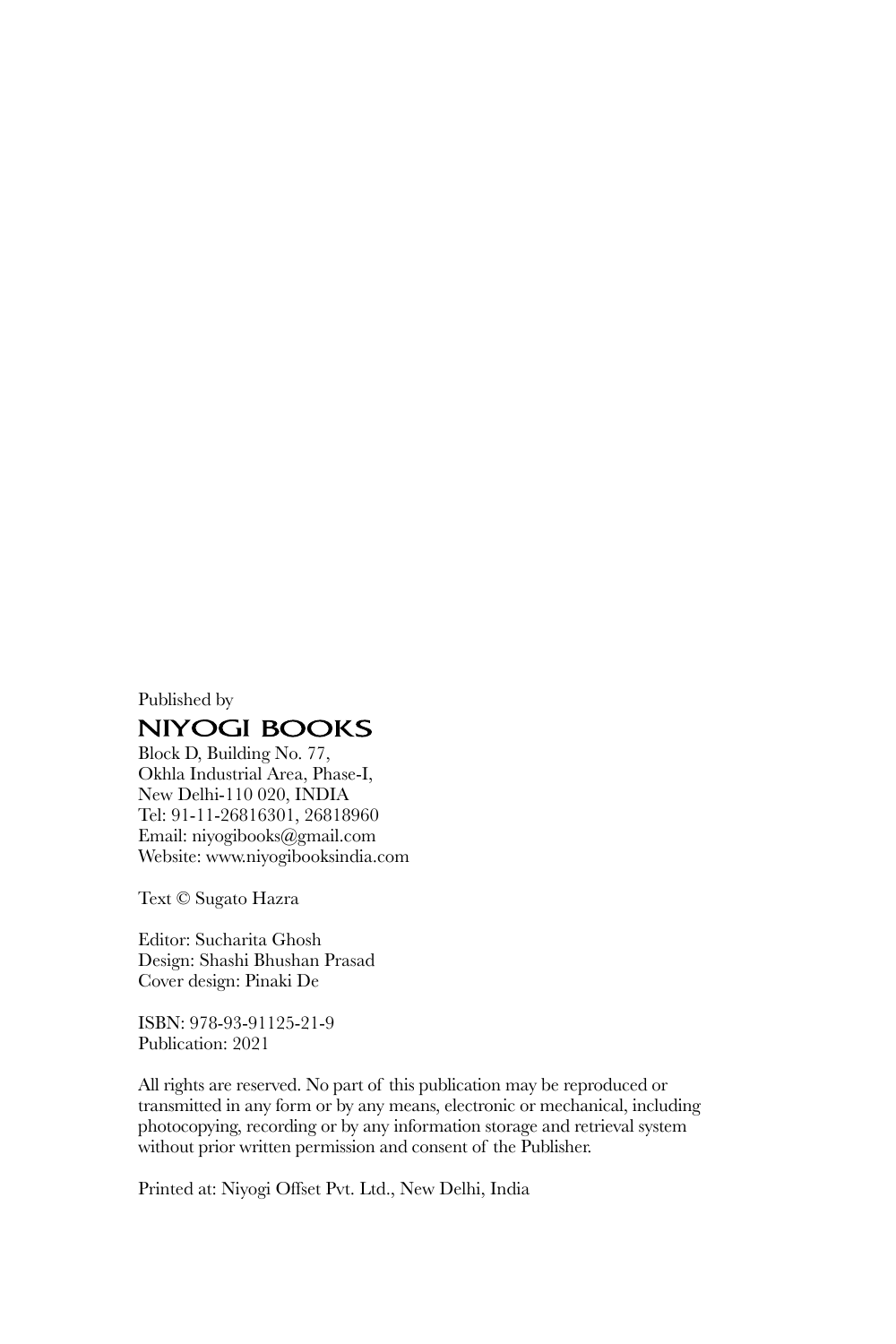#### Published by **NIYOGI BOOKS**

Block D, Building No. 77, Okhla Industrial Area, Phase-I, New Delhi-110 020, INDIA Tel: 91-11-26816301, 26818960 Email: niyogibooks@gmail.com Website: www.niyogibooksindia.com

Text © Sugato Hazra

Editor: Sucharita Ghosh Design: Shashi Bhushan Prasad Cover design: Pinaki De

ISBN: 978-93-91125-21-9 Publication: 2021

All rights are reserved. No part of this publication may be reproduced or transmitted in any form or by any means, electronic or mechanical, including photocopying, recording or by any information storage and retrieval system without prior written permission and consent of the Publisher.

Printed at: Niyogi Offset Pvt. Ltd., New Delhi, India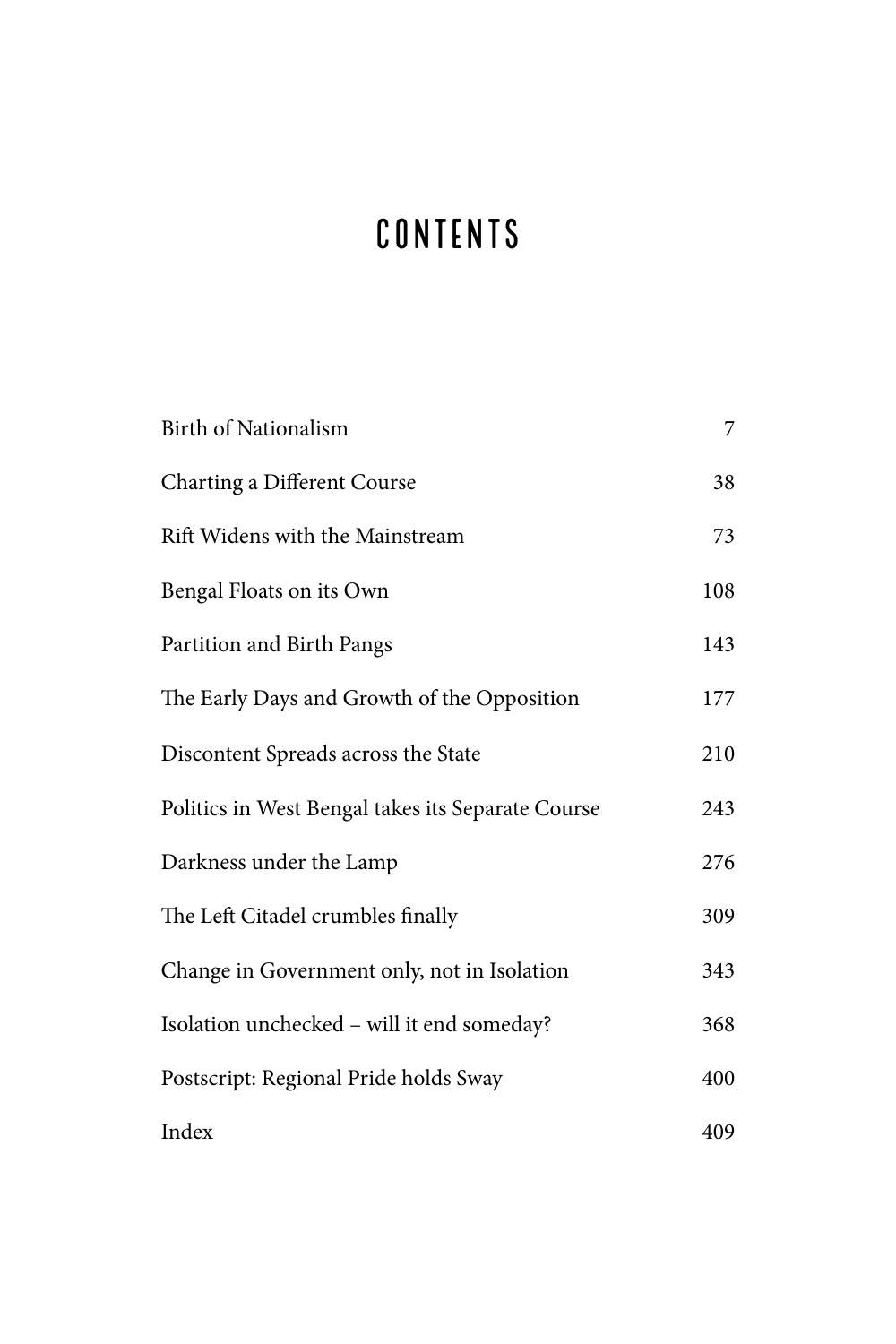### CONTENTS

| Birth of Nationalism                              | 7   |
|---------------------------------------------------|-----|
| Charting a Different Course                       | 38  |
| Rift Widens with the Mainstream                   | 73  |
| Bengal Floats on its Own                          | 108 |
| Partition and Birth Pangs                         | 143 |
| The Early Days and Growth of the Opposition       | 177 |
| Discontent Spreads across the State               | 210 |
| Politics in West Bengal takes its Separate Course | 243 |
| Darkness under the Lamp                           | 276 |
| The Left Citadel crumbles finally                 | 309 |
| Change in Government only, not in Isolation       | 343 |
| Isolation unchecked - will it end someday?        | 368 |
| Postscript: Regional Pride holds Sway             | 400 |
| Index                                             | 409 |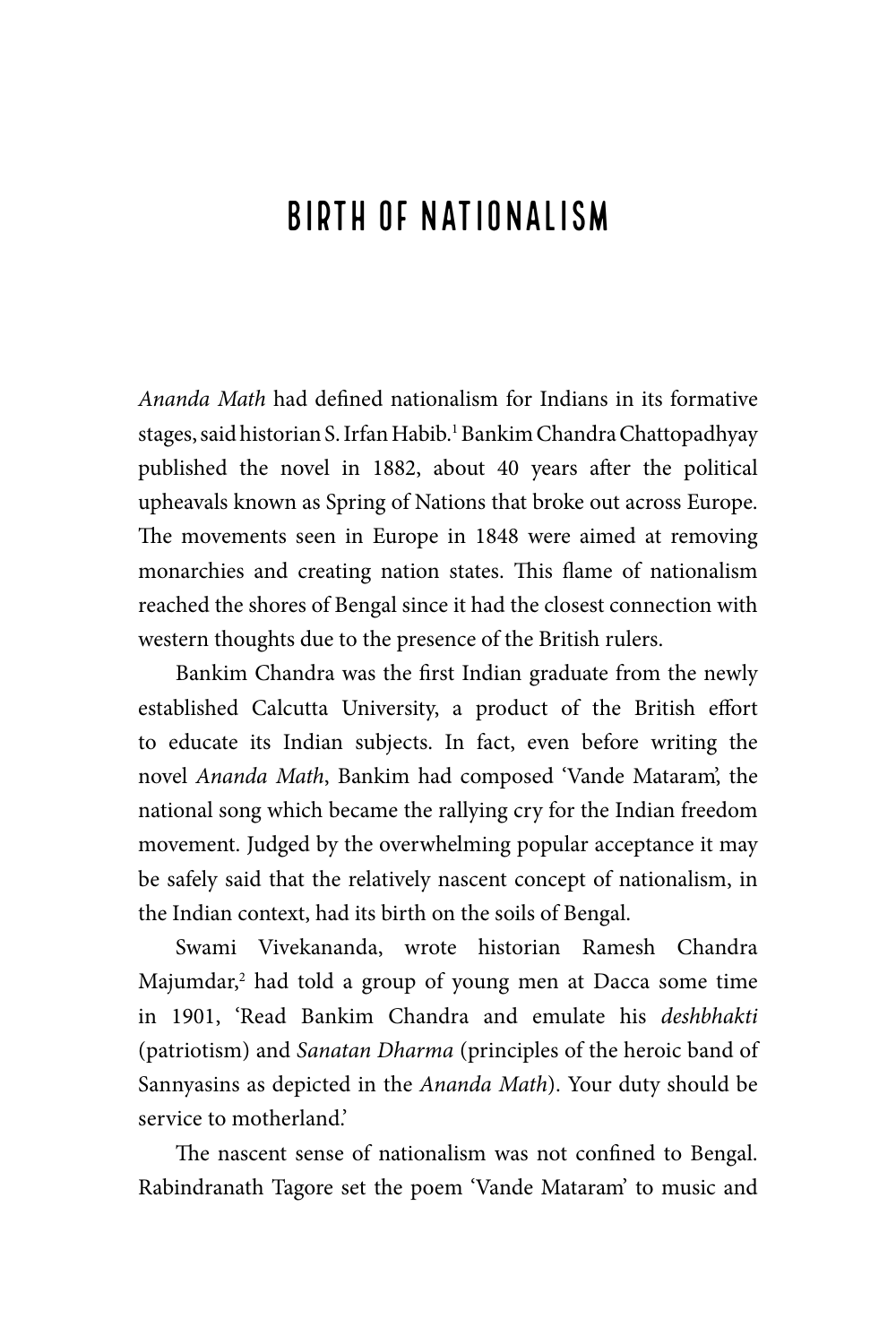### Birth of Nationalism

*Ananda Math* had defined nationalism for Indians in its formative stages, said historian S. Irfan Habib.<sup>1</sup> Bankim Chandra Chattopadhyay published the novel in 1882, about 40 years after the political upheavals known as Spring of Nations that broke out across Europe. The movements seen in Europe in 1848 were aimed at removing monarchies and creating nation states. This flame of nationalism reached the shores of Bengal since it had the closest connection with western thoughts due to the presence of the British rulers.

Bankim Chandra was the first Indian graduate from the newly established Calcutta University, a product of the British effort to educate its Indian subjects. In fact, even before writing the novel *Ananda Math*, Bankim had composed 'Vande Mataram', the national song which became the rallying cry for the Indian freedom movement. Judged by the overwhelming popular acceptance it may be safely said that the relatively nascent concept of nationalism, in the Indian context, had its birth on the soils of Bengal.

Swami Vivekananda, wrote historian Ramesh Chandra Majumdar,<sup>2</sup> had told a group of young men at Dacca some time in 1901, 'Read Bankim Chandra and emulate his *deshbhakti* (patriotism) and *Sanatan Dharma* (principles of the heroic band of Sannyasins as depicted in the *Ananda Math*). Your duty should be service to motherland.'

The nascent sense of nationalism was not confined to Bengal. Rabindranath Tagore set the poem 'Vande Mataram' to music and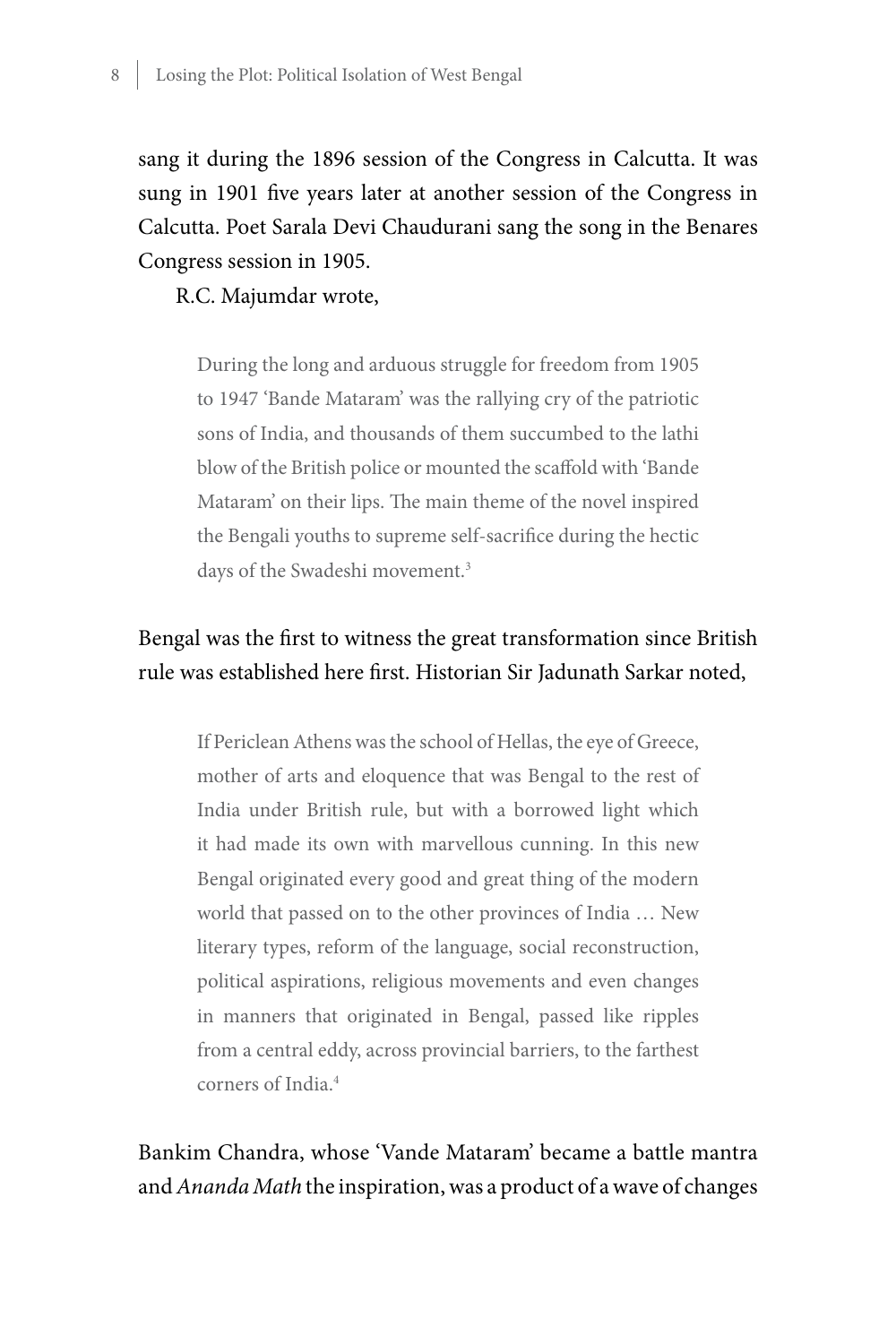sang it during the 1896 session of the Congress in Calcutta. It was sung in 1901 five years later at another session of the Congress in Calcutta. Poet Sarala Devi Chaudurani sang the song in the Benares Congress session in 1905.

R.C. Majumdar wrote,

During the long and arduous struggle for freedom from 1905 to 1947 'Bande Mataram' was the rallying cry of the patriotic sons of India, and thousands of them succumbed to the lathi blow of the British police or mounted the scaffold with 'Bande Mataram' on their lips. The main theme of the novel inspired the Bengali youths to supreme self-sacrifice during the hectic days of the Swadeshi movement.<sup>3</sup>

#### Bengal was the first to witness the great transformation since British rule was established here first. Historian Sir Jadunath Sarkar noted,

If Periclean Athens was the school of Hellas, the eye of Greece, mother of arts and eloquence that was Bengal to the rest of India under British rule, but with a borrowed light which it had made its own with marvellous cunning. In this new Bengal originated every good and great thing of the modern world that passed on to the other provinces of India … New literary types, reform of the language, social reconstruction, political aspirations, religious movements and even changes in manners that originated in Bengal, passed like ripples from a central eddy, across provincial barriers, to the farthest corners of India<sup>4</sup>

Bankim Chandra, whose 'Vande Mataram' became a battle mantra and *Ananda Math* the inspiration, was a product of a wave of changes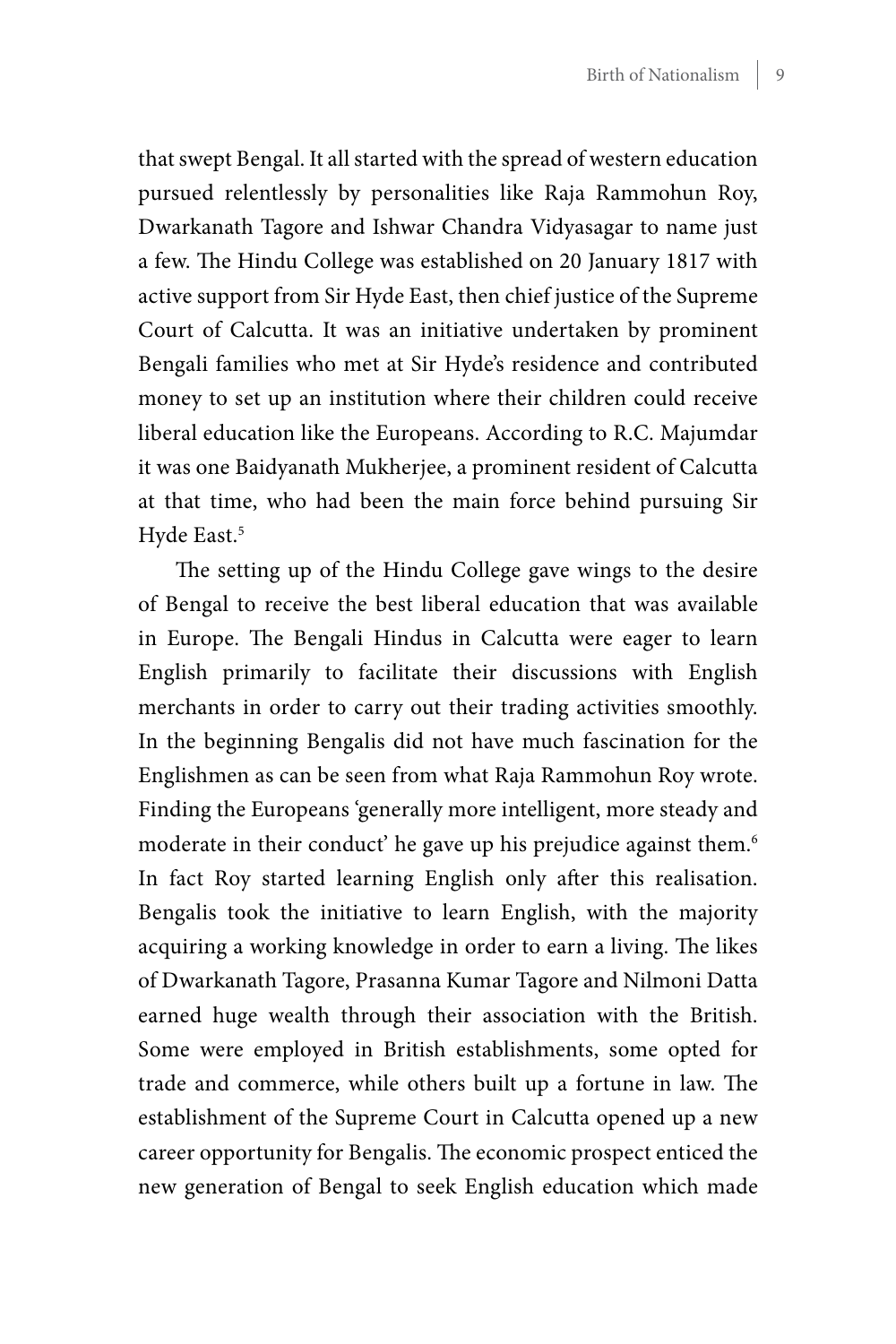that swept Bengal. It all started with the spread of western education pursued relentlessly by personalities like Raja Rammohun Roy, Dwarkanath Tagore and Ishwar Chandra Vidyasagar to name just a few. The Hindu College was established on 20 January 1817 with active support from Sir Hyde East, then chief justice of the Supreme Court of Calcutta. It was an initiative undertaken by prominent Bengali families who met at Sir Hyde's residence and contributed money to set up an institution where their children could receive liberal education like the Europeans. According to R.C. Majumdar it was one Baidyanath Mukherjee, a prominent resident of Calcutta at that time, who had been the main force behind pursuing Sir Hyde East.<sup>5</sup>

The setting up of the Hindu College gave wings to the desire of Bengal to receive the best liberal education that was available in Europe. The Bengali Hindus in Calcutta were eager to learn English primarily to facilitate their discussions with English merchants in order to carry out their trading activities smoothly. In the beginning Bengalis did not have much fascination for the Englishmen as can be seen from what Raja Rammohun Roy wrote. Finding the Europeans 'generally more intelligent, more steady and moderate in their conduct' he gave up his prejudice against them.<sup>6</sup> In fact Roy started learning English only after this realisation. Bengalis took the initiative to learn English, with the majority acquiring a working knowledge in order to earn a living. The likes of Dwarkanath Tagore, Prasanna Kumar Tagore and Nilmoni Datta earned huge wealth through their association with the British. Some were employed in British establishments, some opted for trade and commerce, while others built up a fortune in law. The establishment of the Supreme Court in Calcutta opened up a new career opportunity for Bengalis. The economic prospect enticed the new generation of Bengal to seek English education which made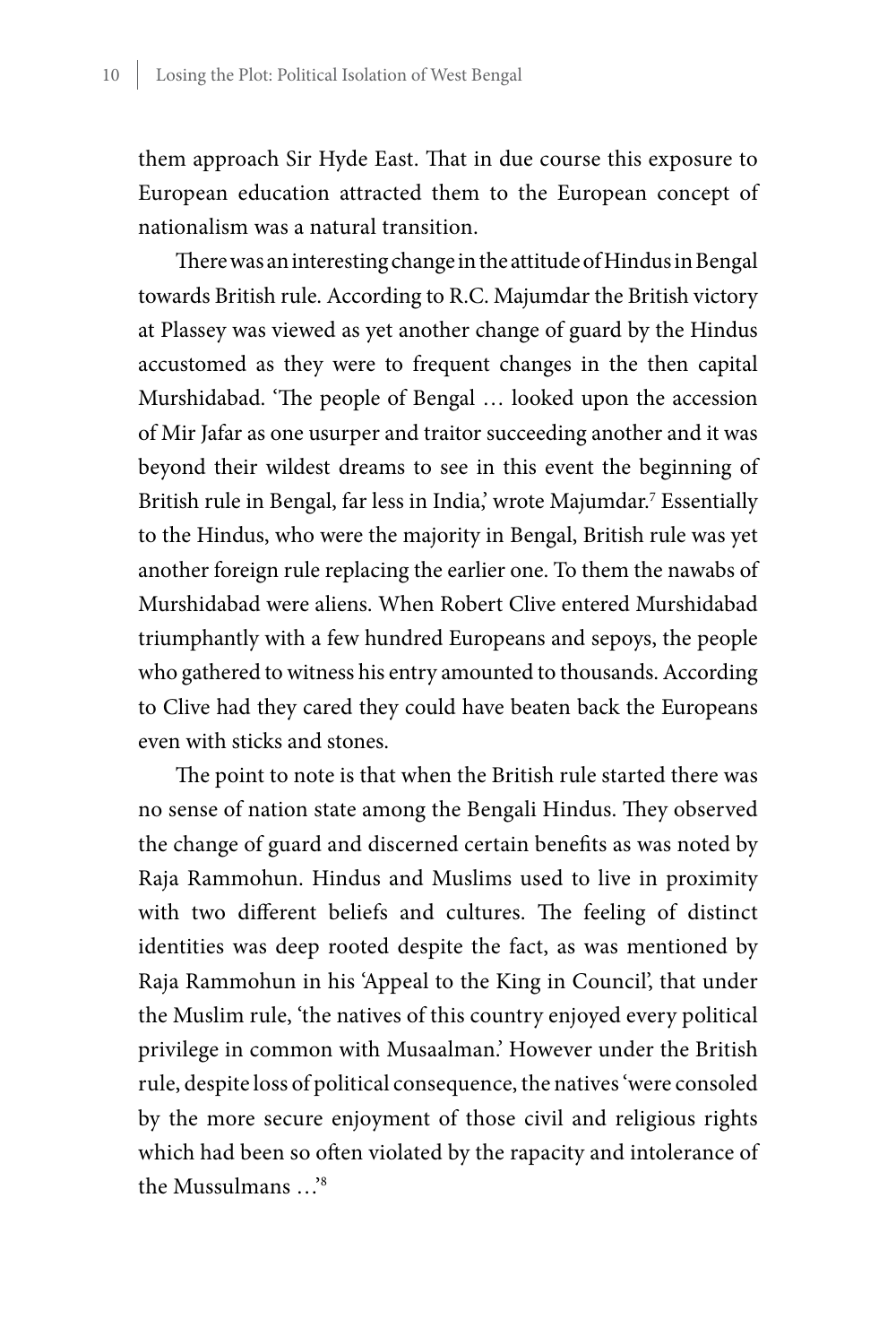them approach Sir Hyde East. That in due course this exposure to European education attracted them to the European concept of nationalism was a natural transition.

There was an interesting change in the attitude of Hindus in Bengal towards British rule. According to R.C. Majumdar the British victory at Plassey was viewed as yet another change of guard by the Hindus accustomed as they were to frequent changes in the then capital Murshidabad. 'The people of Bengal … looked upon the accession of Mir Jafar as one usurper and traitor succeeding another and it was beyond their wildest dreams to see in this event the beginning of British rule in Bengal, far less in India,' wrote Majumdar.<sup>7</sup> Essentially to the Hindus, who were the majority in Bengal, British rule was yet another foreign rule replacing the earlier one. To them the nawabs of Murshidabad were aliens. When Robert Clive entered Murshidabad triumphantly with a few hundred Europeans and sepoys, the people who gathered to witness his entry amounted to thousands. According to Clive had they cared they could have beaten back the Europeans even with sticks and stones.

The point to note is that when the British rule started there was no sense of nation state among the Bengali Hindus. They observed the change of guard and discerned certain benefits as was noted by Raja Rammohun. Hindus and Muslims used to live in proximity with two different beliefs and cultures. The feeling of distinct identities was deep rooted despite the fact, as was mentioned by Raja Rammohun in his 'Appeal to the King in Council', that under the Muslim rule, 'the natives of this country enjoyed every political privilege in common with Musaalman.' However under the British rule, despite loss of political consequence, the natives 'were consoled by the more secure enjoyment of those civil and religious rights which had been so often violated by the rapacity and intolerance of the Mussulmans …'8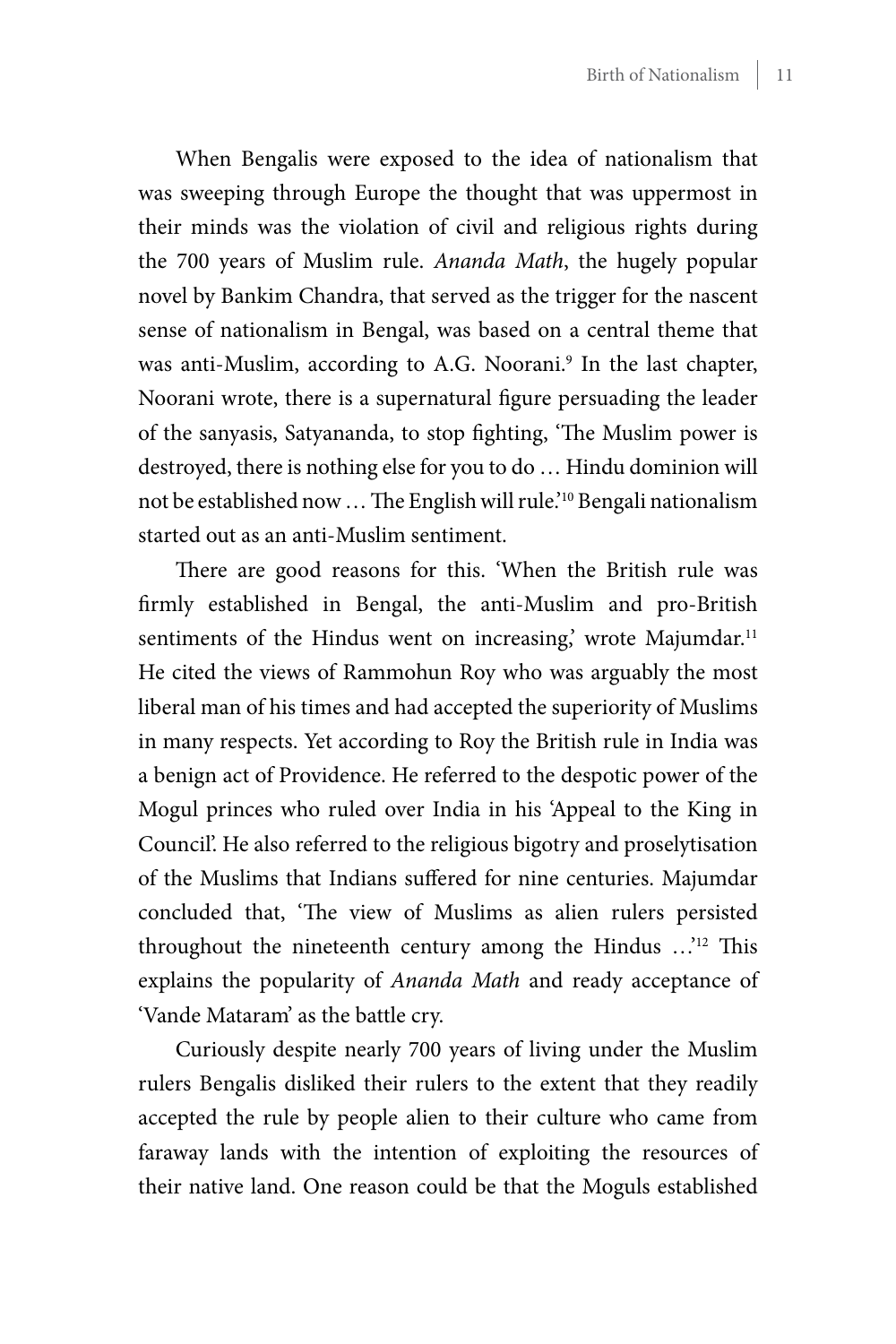When Bengalis were exposed to the idea of nationalism that was sweeping through Europe the thought that was uppermost in their minds was the violation of civil and religious rights during the 700 years of Muslim rule. *Ananda Math*, the hugely popular novel by Bankim Chandra, that served as the trigger for the nascent sense of nationalism in Bengal, was based on a central theme that was anti-Muslim, according to A.G. Noorani.<sup>9</sup> In the last chapter, Noorani wrote, there is a supernatural figure persuading the leader of the sanyasis, Satyananda, to stop fighting, 'The Muslim power is destroyed, there is nothing else for you to do … Hindu dominion will not be established now … The English will rule.'10 Bengali nationalism started out as an anti-Muslim sentiment.

There are good reasons for this. 'When the British rule was firmly established in Bengal, the anti-Muslim and pro-British sentiments of the Hindus went on increasing,' wrote Majumdar.<sup>11</sup> He cited the views of Rammohun Roy who was arguably the most liberal man of his times and had accepted the superiority of Muslims in many respects. Yet according to Roy the British rule in India was a benign act of Providence. He referred to the despotic power of the Mogul princes who ruled over India in his 'Appeal to the King in Council'. He also referred to the religious bigotry and proselytisation of the Muslims that Indians suffered for nine centuries. Majumdar concluded that, 'The view of Muslims as alien rulers persisted throughout the nineteenth century among the Hindus …'12 This explains the popularity of *Ananda Math* and ready acceptance of 'Vande Mataram' as the battle cry.

Curiously despite nearly 700 years of living under the Muslim rulers Bengalis disliked their rulers to the extent that they readily accepted the rule by people alien to their culture who came from faraway lands with the intention of exploiting the resources of their native land. One reason could be that the Moguls established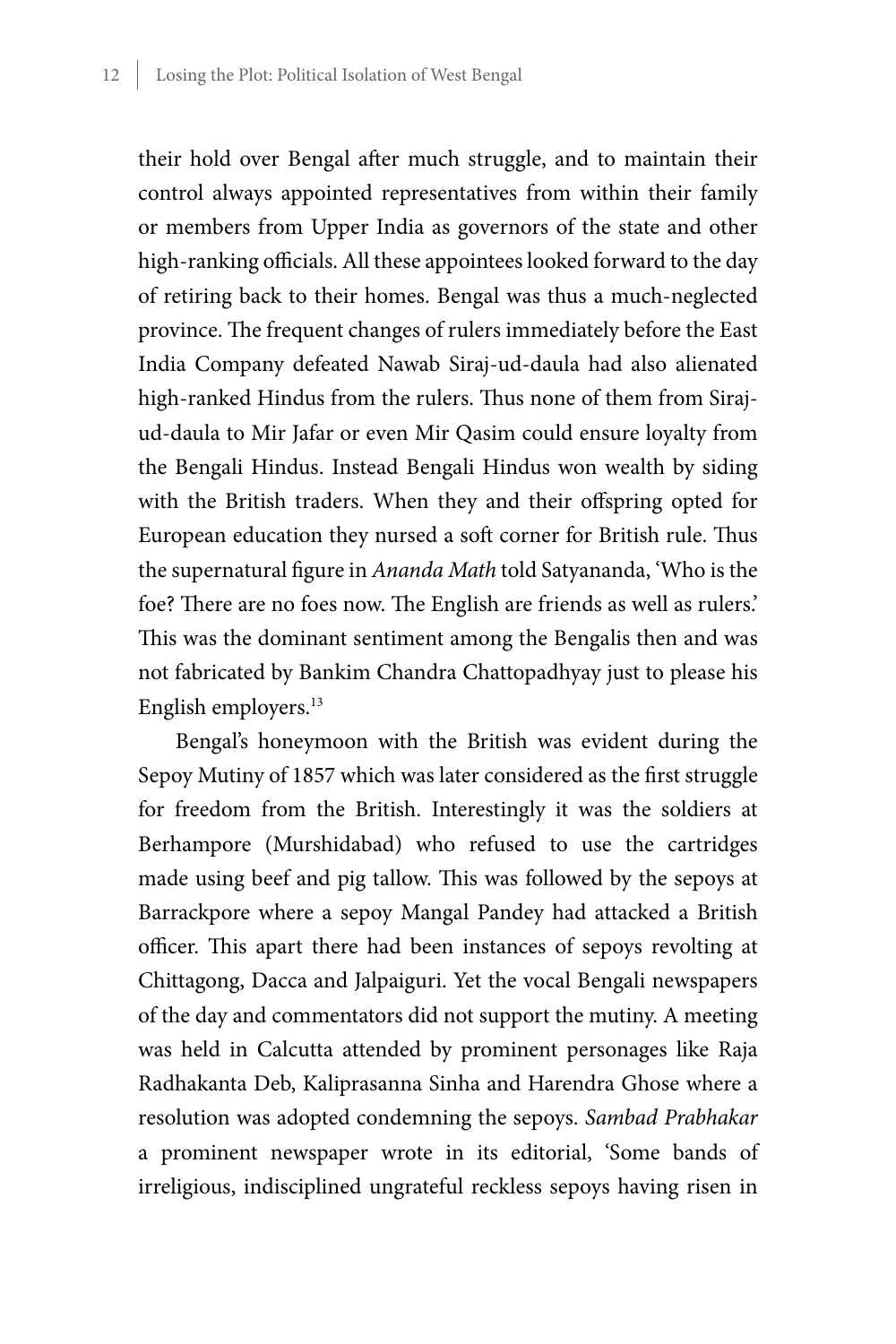their hold over Bengal after much struggle, and to maintain their control always appointed representatives from within their family or members from Upper India as governors of the state and other high-ranking officials. All these appointees looked forward to the day of retiring back to their homes. Bengal was thus a much-neglected province. The frequent changes of rulers immediately before the East India Company defeated Nawab Siraj-ud-daula had also alienated high-ranked Hindus from the rulers. Thus none of them from Sirajud-daula to Mir Jafar or even Mir Qasim could ensure loyalty from the Bengali Hindus. Instead Bengali Hindus won wealth by siding with the British traders. When they and their offspring opted for European education they nursed a soft corner for British rule. Thus the supernatural figure in *Ananda Math* told Satyananda, 'Who is the foe? There are no foes now. The English are friends as well as rulers.' This was the dominant sentiment among the Bengalis then and was not fabricated by Bankim Chandra Chattopadhyay just to please his English employers.<sup>13</sup>

Bengal's honeymoon with the British was evident during the Sepoy Mutiny of 1857 which was later considered as the first struggle for freedom from the British. Interestingly it was the soldiers at Berhampore (Murshidabad) who refused to use the cartridges made using beef and pig tallow. This was followed by the sepoys at Barrackpore where a sepoy Mangal Pandey had attacked a British officer. This apart there had been instances of sepoys revolting at Chittagong, Dacca and Jalpaiguri. Yet the vocal Bengali newspapers of the day and commentators did not support the mutiny. A meeting was held in Calcutta attended by prominent personages like Raja Radhakanta Deb, Kaliprasanna Sinha and Harendra Ghose where a resolution was adopted condemning the sepoys. *Sambad Prabhakar* a prominent newspaper wrote in its editorial, 'Some bands of irreligious, indisciplined ungrateful reckless sepoys having risen in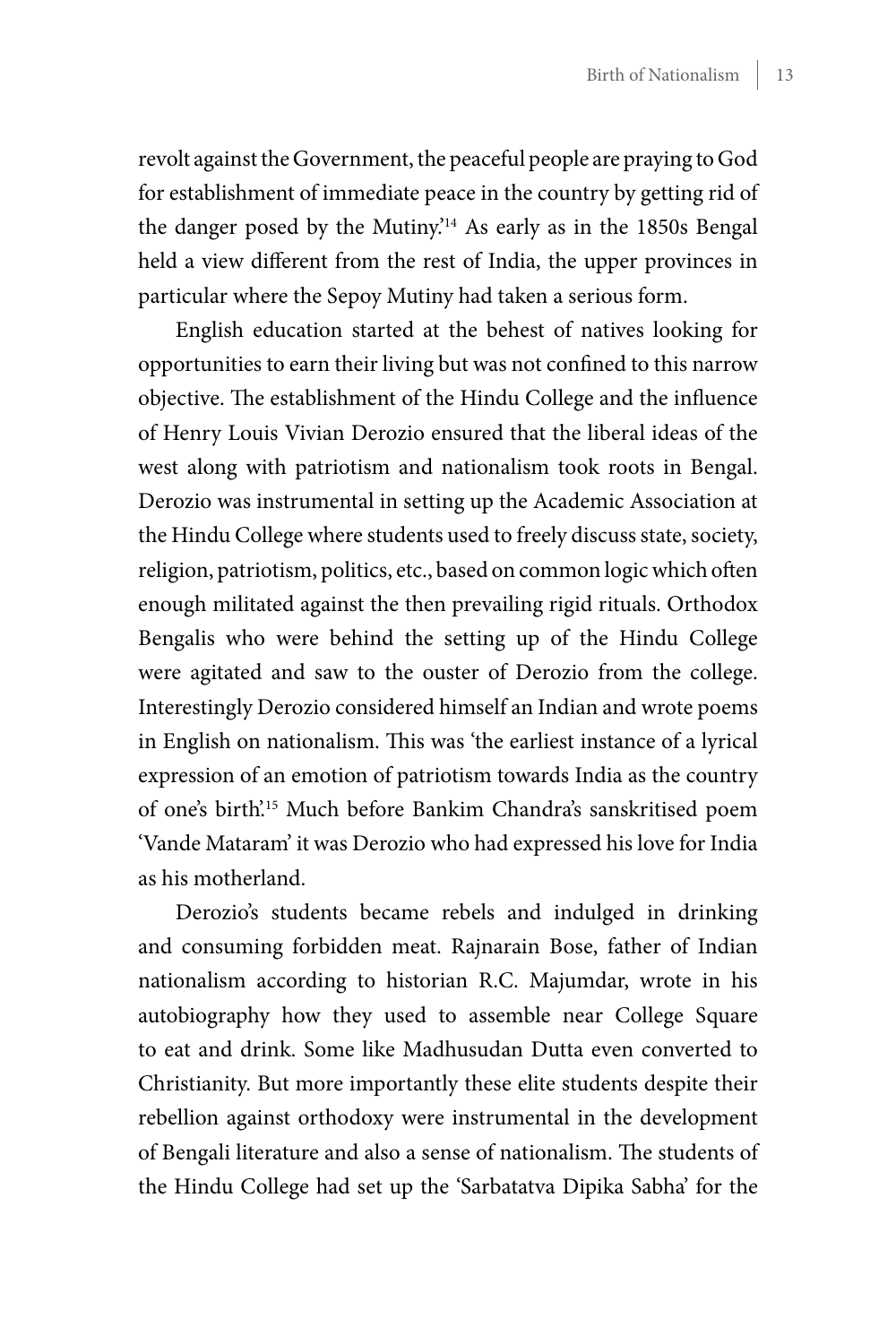revolt against the Government, the peaceful people are praying to God for establishment of immediate peace in the country by getting rid of the danger posed by the Mutiny.'14 As early as in the 1850s Bengal held a view different from the rest of India, the upper provinces in particular where the Sepoy Mutiny had taken a serious form.

English education started at the behest of natives looking for opportunities to earn their living but was not confined to this narrow objective. The establishment of the Hindu College and the influence of Henry Louis Vivian Derozio ensured that the liberal ideas of the west along with patriotism and nationalism took roots in Bengal. Derozio was instrumental in setting up the Academic Association at the Hindu College where students used to freely discuss state, society, religion, patriotism, politics, etc., based on common logic which often enough militated against the then prevailing rigid rituals. Orthodox Bengalis who were behind the setting up of the Hindu College were agitated and saw to the ouster of Derozio from the college. Interestingly Derozio considered himself an Indian and wrote poems in English on nationalism. This was 'the earliest instance of a lyrical expression of an emotion of patriotism towards India as the country of one's birth'.15 Much before Bankim Chandra's sanskritised poem 'Vande Mataram' it was Derozio who had expressed his love for India as his motherland.

Derozio's students became rebels and indulged in drinking and consuming forbidden meat. Rajnarain Bose, father of Indian nationalism according to historian R.C. Majumdar, wrote in his autobiography how they used to assemble near College Square to eat and drink. Some like Madhusudan Dutta even converted to Christianity. But more importantly these elite students despite their rebellion against orthodoxy were instrumental in the development of Bengali literature and also a sense of nationalism. The students of the Hindu College had set up the 'Sarbatatva Dipika Sabha' for the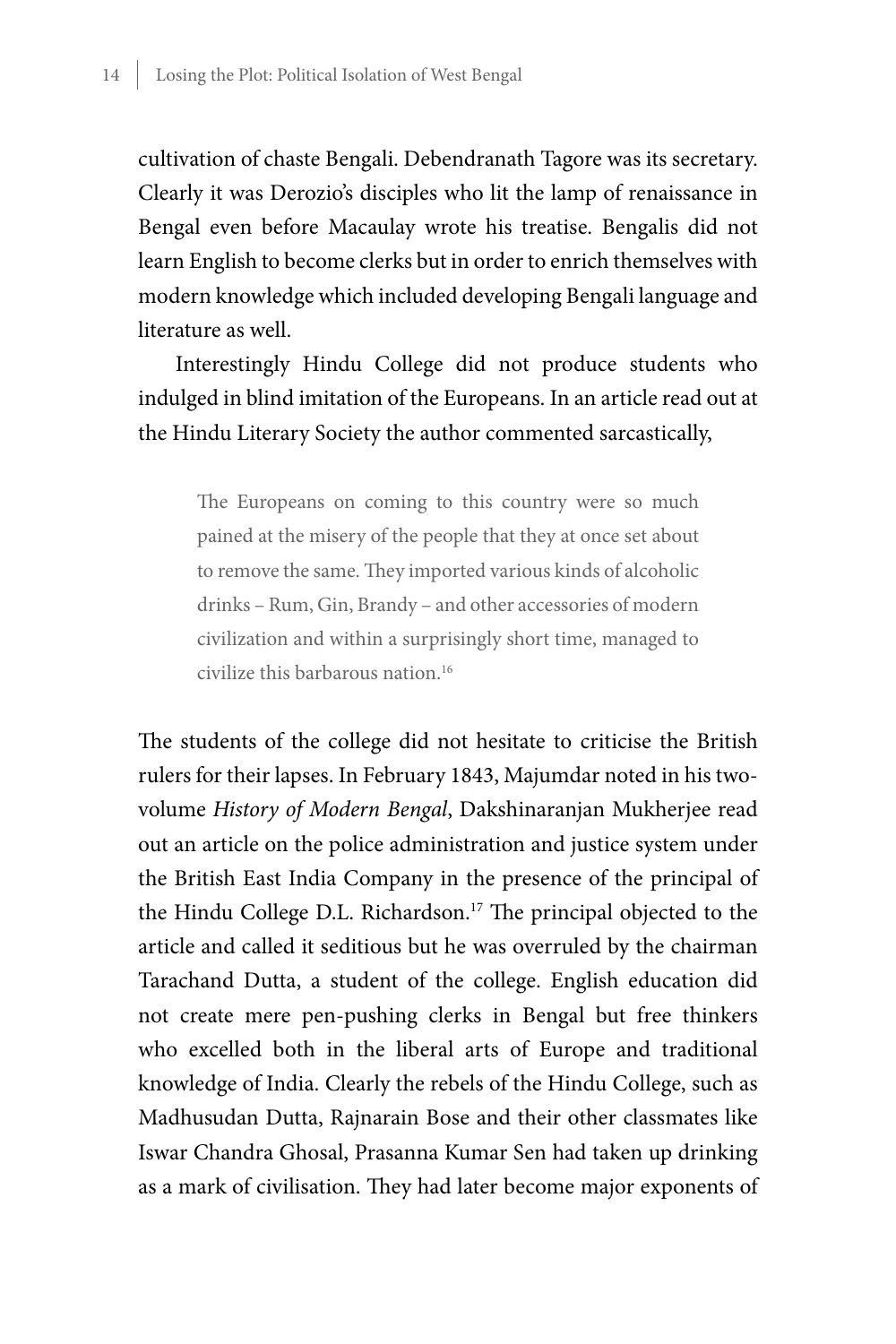cultivation of chaste Bengali. Debendranath Tagore was its secretary. Clearly it was Derozio's disciples who lit the lamp of renaissance in Bengal even before Macaulay wrote his treatise. Bengalis did not learn English to become clerks but in order to enrich themselves with modern knowledge which included developing Bengali language and literature as well.

Interestingly Hindu College did not produce students who indulged in blind imitation of the Europeans. In an article read out at the Hindu Literary Society the author commented sarcastically,

The Europeans on coming to this country were so much pained at the misery of the people that they at once set about to remove the same. They imported various kinds of alcoholic drinks – Rum, Gin, Brandy – and other accessories of modern civilization and within a surprisingly short time, managed to civilize this barbarous nation.16

The students of the college did not hesitate to criticise the British rulers for their lapses. In February 1843, Majumdar noted in his twovolume *History of Modern Bengal*, Dakshinaranjan Mukherjee read out an article on the police administration and justice system under the British East India Company in the presence of the principal of the Hindu College D.L. Richardson.<sup>17</sup> The principal objected to the article and called it seditious but he was overruled by the chairman Tarachand Dutta, a student of the college. English education did not create mere pen-pushing clerks in Bengal but free thinkers who excelled both in the liberal arts of Europe and traditional knowledge of India. Clearly the rebels of the Hindu College, such as Madhusudan Dutta, Rajnarain Bose and their other classmates like Iswar Chandra Ghosal, Prasanna Kumar Sen had taken up drinking as a mark of civilisation. They had later become major exponents of